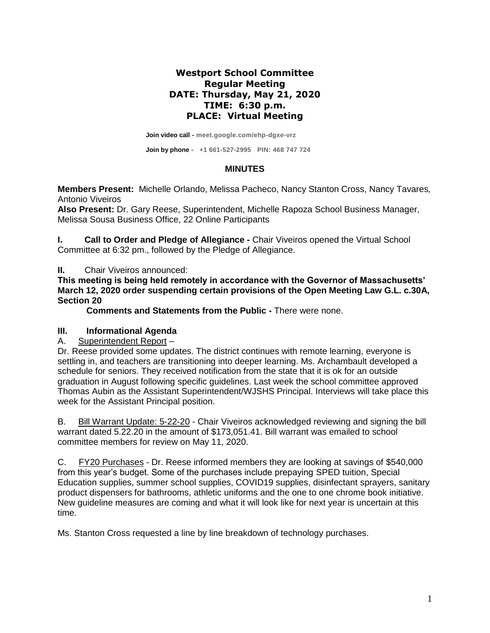## **Westport School Committee Regular Meeting DATE: Thursday, May 21, 2020 TIME: 6:30 p.m. PLACE: Virtual Meeting**

**Join video call - meet.google.com/ehp-dgxe-vrz**

**Join by phone - +1 661-527-2995 PIN: 468 747 724**

## **MINUTES**

**Members Present:** Michelle Orlando, Melissa Pacheco, Nancy Stanton Cross, Nancy Tavares*,*  Antonio Viveiros

**Also Present:** Dr. Gary Reese, Superintendent, Michelle Rapoza School Business Manager, Melissa Sousa Business Office, 22 Online Participants

**I. Call to Order and Pledge of Allegiance -** Chair Viveiros opened the Virtual School Committee at 6:32 pm., followed by the Pledge of Allegiance.

**II.** Chair Viveiros announced:

**This meeting is being held remotely in accordance with the Governor of Massachusetts' March 12, 2020 order suspending certain provisions of the Open Meeting Law G.L. c.30A, Section 20**

**Comments and Statements from the Public -** There were none.

## **III. Informational Agenda**

A. Superintendent Report –

Dr. Reese provided some updates. The district continues with remote learning, everyone is settling in, and teachers are transitioning into deeper learning. Ms. Archambault developed a schedule for seniors. They received notification from the state that it is ok for an outside graduation in August following specific guidelines. Last week the school committee approved Thomas Aubin as the Assistant Superintendent/WJSHS Principal. Interviews will take place this week for the Assistant Principal position.

B. Bill Warrant Update: 5-22-20 - Chair Viveiros acknowledged reviewing and signing the bill warrant dated 5.22.20 in the amount of \$173,051.41. Bill warrant was emailed to school committee members for review on May 11, 2020.

C. FY20 Purchases - Dr. Reese informed members they are looking at savings of \$540,000 from this year's budget. Some of the purchases include prepaying SPED tuition, Special Education supplies, summer school supplies, COVID19 supplies, disinfectant sprayers, sanitary product dispensers for bathrooms, athletic uniforms and the one to one chrome book initiative. New guideline measures are coming and what it will look like for next year is uncertain at this time.

Ms. Stanton Cross requested a line by line breakdown of technology purchases.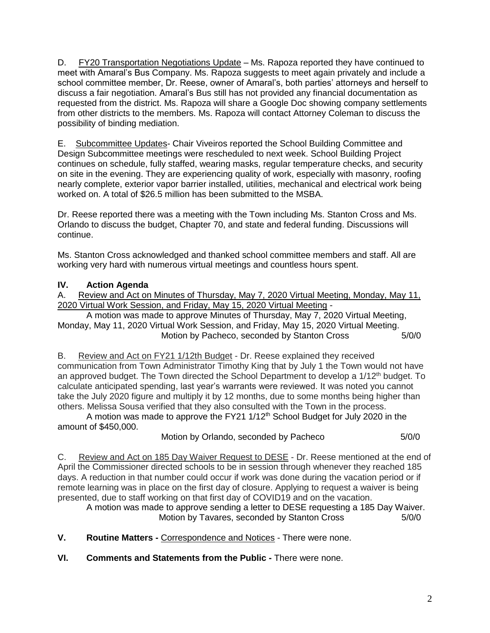D. FY20 Transportation Negotiations Update – Ms. Rapoza reported they have continued to meet with Amaral's Bus Company. Ms. Rapoza suggests to meet again privately and include a school committee member, Dr. Reese, owner of Amaral's, both parties' attorneys and herself to discuss a fair negotiation. Amaral's Bus still has not provided any financial documentation as requested from the district. Ms. Rapoza will share a Google Doc showing company settlements from other districts to the members. Ms. Rapoza will contact Attorney Coleman to discuss the possibility of binding mediation.

E. Subcommittee Updates- Chair Viveiros reported the School Building Committee and Design Subcommittee meetings were rescheduled to next week. School Building Project continues on schedule, fully staffed, wearing masks, regular temperature checks, and security on site in the evening. They are experiencing quality of work, especially with masonry, roofing nearly complete, exterior vapor barrier installed, utilities, mechanical and electrical work being worked on. A total of \$26.5 million has been submitted to the MSBA.

Dr. Reese reported there was a meeting with the Town including Ms. Stanton Cross and Ms. Orlando to discuss the budget, Chapter 70, and state and federal funding. Discussions will continue.

Ms. Stanton Cross acknowledged and thanked school committee members and staff. All are working very hard with numerous virtual meetings and countless hours spent.

## **IV. Action Agenda**

A. Review and Act on Minutes of Thursday, May 7, 2020 Virtual Meeting, Monday, May 11, 2020 Virtual Work Session, and Friday, May 15, 2020 Virtual Meeting -

A motion was made to approve Minutes of Thursday, May 7, 2020 Virtual Meeting, Monday, May 11, 2020 Virtual Work Session, and Friday, May 15, 2020 Virtual Meeting. Motion by Pacheco, seconded by Stanton Cross 5/0/0

B. Review and Act on FY21 1/12th Budget - Dr. Reese explained they received communication from Town Administrator Timothy King that by July 1 the Town would not have an approved budget. The Town directed the School Department to develop a 1/12<sup>th</sup> budget. To calculate anticipated spending, last year's warrants were reviewed. It was noted you cannot take the July 2020 figure and multiply it by 12 months, due to some months being higher than others. Melissa Sousa verified that they also consulted with the Town in the process.

A motion was made to approve the FY21  $1/12<sup>th</sup>$  School Budget for July 2020 in the amount of \$450,000.

Motion by Orlando, seconded by Pacheco 5/0/0

C. Review and Act on 185 Day Waiver Request to DESE - Dr. Reese mentioned at the end of April the Commissioner directed schools to be in session through whenever they reached 185 days. A reduction in that number could occur if work was done during the vacation period or if remote learning was in place on the first day of closure. Applying to request a waiver is being presented, due to staff working on that first day of COVID19 and on the vacation.

A motion was made to approve sending a letter to DESE requesting a 185 Day Waiver. Motion by Tavares, seconded by Stanton Cross 5/0/0

**V. Routine Matters -** Correspondence and Notices - There were none.

**VI. Comments and Statements from the Public -** There were none.